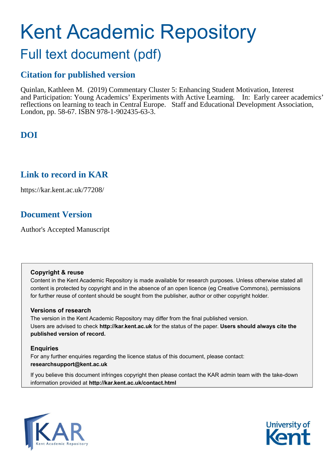# Kent Academic Repository

# Full text document (pdf)

## **Citation for published version**

Quinlan, Kathleen M. (2019) Commentary Cluster 5: Enhancing Student Motivation, Interest and Participation: Young Academics' Experiments with Active Learning. In: Early career academics' reflections on learning to teach in Central Europe. Staff and Educational Development Association, London, pp. 58-67. ISBN 978-1-902435-63-3.

# **DOI**

### **Link to record in KAR**

https://kar.kent.ac.uk/77208/

# **Document Version**

Author's Accepted Manuscript

#### **Copyright & reuse**

Content in the Kent Academic Repository is made available for research purposes. Unless otherwise stated all content is protected by copyright and in the absence of an open licence (eg Creative Commons), permissions for further reuse of content should be sought from the publisher, author or other copyright holder.

#### **Versions of research**

The version in the Kent Academic Repository may differ from the final published version. Users are advised to check **http://kar.kent.ac.uk** for the status of the paper. **Users should always cite the published version of record.**

#### **Enquiries**

For any further enquiries regarding the licence status of this document, please contact: **researchsupport@kent.ac.uk**

If you believe this document infringes copyright then please contact the KAR admin team with the take-down information provided at **http://kar.kent.ac.uk/contact.html**



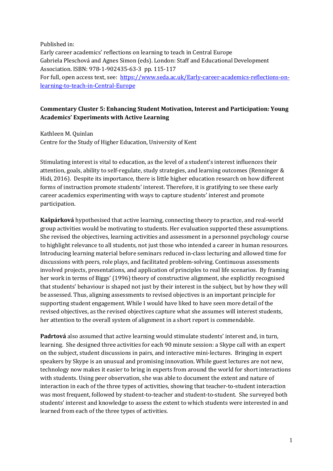Published in: Early career academics' reflections on learning to teach in Central Europe Gabriela Pleschová and Agnes Simon (eds). London: Staff and Educational Development Association. ISBN: 978-1-902435-63-3 pp. 115-117 For full, open access text, see: [https://www.seda.ac.uk/Early-career-academics-reflections-on](https://www.seda.ac.uk/Early-career-academics-reflections-on-learning-to-teach-in-Central-Europe)[learning-to-teach-in-Central-Europe](https://www.seda.ac.uk/Early-career-academics-reflections-on-learning-to-teach-in-Central-Europe)

#### **Commentary Cluster 5: Enhancing Student Motivation, Interest and Participation: Young Academics' Experiments with Active Learning**

Kathleen M. Quinlan

Centre for the Study of Higher Education, University of Kent

Stimulating interest is vital to education, as the level of a student's interest influences their attention, goals, ability to self-regulate, study strategies, and learning outcomes (Renninger & Hidi, 2016). Despite its importance, there is little higher education research on how different forms of instruction promote students' interest. Therefore, it is gratifying to see these early career academics experimenting with ways to capture students' interest and promote participation.

**Kašpárková** hypothesised that active learning, connecting theory to practice, and real-world group activities would be motivating to students. Her evaluation supported these assumptions. She revised the objectives, learning activities and assessment in a personnel psychology course to highlight relevance to all students, not just those who intended a career in human resources. Introducing learning material before seminars reduced in-class lecturing and allowed time for discussions with peers, role plays, and facilitated problem-solving. Continuous assessments involved projects, presentations, and application of principles to real life scenarios. By framing her work in terms of Biggs' (1996) theory of constructive alignment, she explicitly recognised that students' behaviour is shaped not just by their interest in the subject, but by how they will be assessed. Thus, aligning assessments to revised objectives is an important principle for supporting student engagement. While I would have liked to have seen more detail of the revised objectives, as the revised objectives capture what she assumes will interest students, her attention to the overall system of alignment in a short report is commendable.

**Padrtová** also assumed that active learning would stimulate students' interest and, in turn, learning. She designed three activities for each 90 minute session: a Skype call with an expert on the subject, student discussions in pairs, and interactive mini-lectures. Bringing in expert speakers by Skype is an unusual and promising innovation. While guest lectures are not new, technology now makes it easier to bring in experts from around the world for short interactions with students. Using peer observation, she was able to document the extent and nature of interaction in each of the three types of activities, showing that teacher-to-student interaction was most frequent, followed by student-to-teacher and student-to-student. She surveyed both students' interest and knowledge to assess the extent to which students were interested in and learned from each of the three types of activities.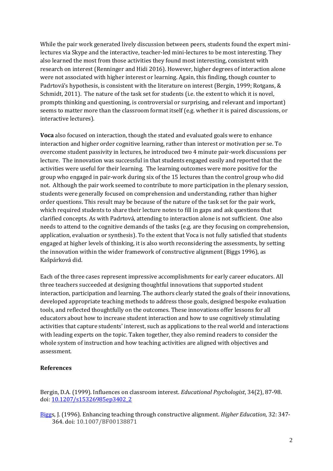While the pair work generated lively discussion between peers, students found the expert minilectures via Skype and the interactive, teacher-led mini-lectures to be most interesting. They also learned the most from those activities they found most interesting, consistent with research on interest (Renninger and Hidi 2016). However, higher degrees of interaction alone were not associated with higher interest or learning. Again, this finding, though counter to Padrtová's hypothesis, is consistent with the literature on interest (Bergin, 1999; Rotgans, & Schmidt, 2011). The nature of the task set for students (i.e. the extent to which it is novel, prompts thinking and questioning, is controversial or surprising, and relevant and important) seems to matter more than the classroom format itself (e.g. whether it is paired discussions, or interactive lectures).

**Voca** also focused on interaction, though the stated and evaluated goals were to enhance interaction and higher order cognitive learning, rather than interest or motivation per se. To overcome student passivity in lectures, he introduced two 4 minute pair-work discussions per lecture. The innovation was successful in that students engaged easily and reported that the activities were useful for their learning. The learning outcomes were more positive for the group who engaged in pair-work during six of the 15 lectures than the control group who did not. Although the pair work seemed to contribute to more participation in the plenary session, students were generally focused on comprehension and understanding, rather than higher order questions. This result may be because of the nature of the task set for the pair work, which required students to share their lecture notes to fill in gaps and ask questions that clarified concepts. As with Padrtová, attending to interaction alone is not sufficient. One also needs to attend to the cognitive demands of the tasks (e.g. are they focusing on comprehension, application, evaluation or synthesis). To the extent that Voca is not fully satisfied that students engaged at higher levels of thinking, it is also worth reconsidering the assessments, by setting the innovation within the wider framework of constructive alignment (Biggs 1996), as Kašpárková did.

Each of the three cases represent impressive accomplishments for early career educators. All three teachers succeeded at designing thoughtful innovations that supported student interaction, participation and learning. The authors clearly stated the goals of their innovations, developed appropriate teaching methods to address those goals, designed bespoke evaluation tools, and reflected thoughtfully on the outcomes. These innovations offer lessons for all educators about how to increase student interaction and how to use cognitively stimulating activities that capture students' interest, such as applications to the real world and interactions with leading experts on the topic. Taken together, they also remind readers to consider the whole system of instruction and how teaching activities are aligned with objectives and assessment.

#### **References**

Bergin, D.A. (1999). Influences on classroom interest. *Educational Psychologist*, 34(2), 87-98. doi[: 10.1207/s15326985ep3402\\_2](https://doi.org/10.1207/s15326985ep3402_2)

[Biggs](https://doi.org/10.1207/s15326985ep3402_2), J. (1996). Enhancing teaching through constructive alignment. *Higher Education*, 32: 347- 364. doi: 10.1007/BF00138871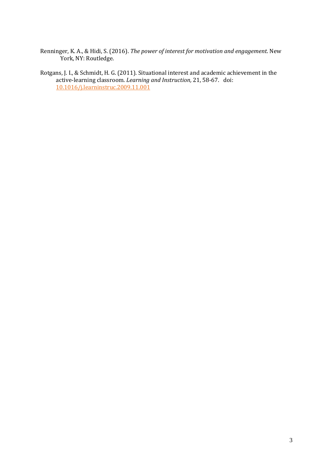- Renninger, K. A., & Hidi, S. (2016). *The power of interest for motivation and engagement*. New York, NY: Routledge.
- Rotgans, J. I., & Schmidt, H. G. (2011). Situational interest and academic achievement in the active-learning classroom. *Learning and Instruction,* 21, 58-67. doi: [10.1016/j.learninstruc.2009.11.001](https://doi.org/10.1016/j.learninstruc.2009.11.001)